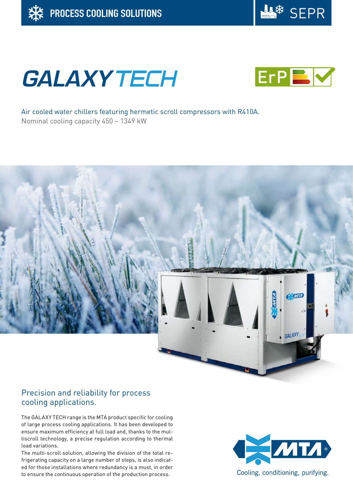

# **GALAXY TECH**



Air cooled water chillers featuring hermetic scroll compressors with R410A. Nominal cooling capacity 450 – 1349 kW



## Precision and reliability for process cooling applications.

The GALAXY TECH range is the MTA product specific for cooling of large process cooling applications. It has been developed to ensure maximum efficiency at full load and, thanks to the multiscroll technology, a precise regulation according to thermal load variations.

The multi-scroll solution, allowing the division of the total refrigerating capacity on a large number of steps, is also indicated for those installations where redundancy is a must, in order to ensure the continuous operation of the production process.